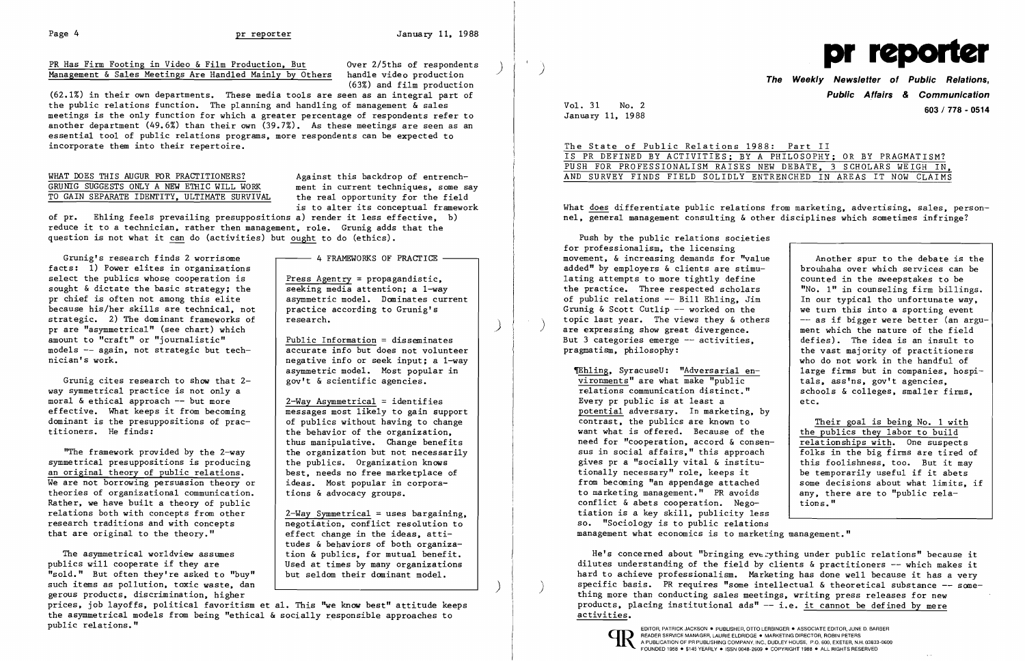(63%) and film production

(62.1%) in their own departments. These media tools are seen as an integral part of the public relations function. The planning and handling of management & sales meetings is the only function for which a greater percentage of respondents refer to another department (49.6%) than their own (39.7%). As these meetings are seen as an essential tool of public relations programs, more respondents can be expected to incorporate them into their repertoire.

## WHAT DOES THIS AUGUR FOR PRACTITIONERS?<br>GRUNIG SUGGESTS ONLY A NEW ETHIC WILL WORK ment in current techniques, some say GRUNIG SUGGESTS ONLY A NEW ETHIC WILL WORK ment in current techniques, some say to GAIN SEPARATE IDENTITY, ULTIMATE SURVIVAL the real opportunity for the field TO GAIN SEPARATE IDENTITY, ULTIMATE SURVIVAL

of pr. Ehling feels prevailing presuppositions a) render it less effective, b) reduce it to a technician, rather then management, role. Grunig adds that the question is not what it can do (activities) but ought to do (ethics).

What does differentiate public relations from marketing, advertising, sales, personnel, general management consulting & other disciplines which sometimes infringe?

is to alter its conceptual framework



**The Weekly Newsletter of Public Relations, Public Affairs & Communication**  January 11, 1988 **603/ 778 - <sup>0514</sup>**

Vol. 31 No. 2

|  |  |  |  |  |  | The State of Public Relations 1988: Part II                     |  |  |  |                                                                  |
|--|--|--|--|--|--|-----------------------------------------------------------------|--|--|--|------------------------------------------------------------------|
|  |  |  |  |  |  | IS PR DEFINED BY ACTIVITIES; BY A PHILOSOPHY; OR BY PRAGMATISM? |  |  |  |                                                                  |
|  |  |  |  |  |  |                                                                 |  |  |  | PUSH FOR PROFESSIONALISM RAISES NEW DEBATE, 3 SCHOLARS WEIGH IN. |
|  |  |  |  |  |  |                                                                 |  |  |  | AND SURVEY FINDS FIELD SOLIDLY ENTRENCHED IN AREAS IT NOW CLAIMS |

Push by the public relations societies for professionalism, the licensing movement, & increasing demands for "value Another spur to the debate is the<br>brouhaha over which services can be added" by employers & clients are stimu-<br>lating attempts to more tightly define and counted in the sweepstakes to be lating attempts to more tightly define  $\begin{array}{|l|l|}\n\hline\n\text{the} & \text{re} \\
\text{the} & \text{the} \\
\hline\n\text{the} & \text{the} \\
\hline\n\end{array}$  the practice. Three respected scholars  $\begin{array}{c|l} \hline\n\text{t} & \text{the} \\
\hline\n\text{the} & \text{the} \\
\hline\n\end{array}$  are the practi the practice. Three respected scholars | "No. 1" in counseling firm billings.<br>
of public relations -- Bill Ehling, Jim | In our typical tho unfortunate way. of public relations -- Bill Ehling, Jim  $\begin{array}{|l|} \n\end{array}$  In our typical tho unfortunate way,<br>
Grunig & Scott Cutlip -- worked on the  $\begin{array}{|l|} \n\end{array}$  we turn this into a sporting event Grunig & Scott Cutlip -- worked on the  $\begin{array}{|l|l|}\n\hline\n\end{array}$  we turn this into a sporting event<br>topic last year. The views they & others  $\begin{array}{|l|}\n\hline\n\end{array}$  -- as if bigger were better (an argutopic last year. The views they  $\&$  others  $\begin{array}{|l|}\n & -- & as if bigger were better (an arg are expressing show great divergence.\n\end{array}$ <br>But 3 categories emerge -- activities.  $\begin{array}{|l|}\n\hline\n\end{array}$  defies). The idea is an insult to But 3 categories emerge  $--$  activities, pragmatism, philosophy: the vast majority of practitioners who do not work in the handful of<br>large firms but in companies, hospi-The Tehling, SyracuseU: "Adversarial en-<br>vironments" are what make "public als, ass'ns, gov't agencies. vironments" are what make "public<br>relations communication distinct." schools & colleges, smaller firms, Every pr public is at least  $a$  etc. potential adversary. In marketing, by contrast, the publics are known to Their goal is being No. 1 with<br>the publics they labor to build want what is offered. Because of the  $\left\{\begin{array}{c}\n\text{the publics they labor to build} \\
\text{relationships with. One suspects}\n\end{array}\right.$ need for "cooperation, accord & consen-<br>sus in social affairs," this approach  $\left\{\n\begin{array}{c}\n\text{relations} & \text{with.} \\
\text{follows in the big firms are tired of}\n\end{array}\n\right\}$ sus in social affairs." this approach gives pr a "socially vital & institu-<br>tionally necessary" role, keeps it<br> $\begin{array}{|l|} h & h & h & h \end{array}$  be temporarily useful if it abets tionally necessary" role, keeps it be temporarily useful if it abets<br>from becoming "an appendage attached some decisions about what limits, if from becoming "an appendage attached some decisions about what limits<br>to marketing management." PR avoids any, there are to "public relato marketing management." PR avoids conflict  $\&$  abets cooperation. Negotions." tiation is a key skill, publicity less

 $2-Way$  Symmetrical = uses bargaining, negotiation, conflict resolution to effect change in the ideas, attitudes & behaviors of both organization & publics, for mutual benefit. Used at times by many organizations but seldom their dominant model.

so. "Sociology is to public relations management what economics is to marketing management."

He's concerned about "bringing every thing under public relations" because it dilutes understanding of the field by clients & practitioners -- which makes it hard to achieve professionalism. Marketing has done well because it has a very specific basis. PR requires "some intellectual & theoretical substance  $-$  something more than conducting sales meetings, writing press releases for new products, placing institutional ads"  $-$  i.e. it cannot be defined by mere activities.



)

)

Grunig's research finds 2 worrisome facts: 1) Power elites in organizations select the publics whose cooperation is sought & dictate the basic strategy; the pr chief is often not among this elite because his/her skills are technical, not strategic. 2) The dominant frameworks of pr are "asymmetrical" (see chart) which amount to "craft" or "journalistic" models -- again, not strategic but technician's work.

Grunig cites research to show that 2 way symmetrical practice is not only a moral & ethical approach -- but more effective. What keeps it from becoming dominant is the presuppositions of practitioners. He finds:

"The framework provided by the 2-way symmetrical presuppositions is producing an original theory of public relations. We are not borrowing persuasion theory or theories of organizational communication. Rather, we have built a theory of public relations both with concepts from other research traditions and with concepts that are original to the theory."

4 FRAMEWORKS OF PRACTICE

Press Agentry = propagandistic, seeking media attention; a 1-way asymmetric model. Dominates current

practice according to Grunig's

research.

Public Information = disseminates accurate info but does not volunteer negative info or seek input; a 1-way asymmetric model. Most popular in

gov't & scientific agencies.

The asymmetrical worldview assumes publics will cooperate if they are "sold." But often they're asked to "buy" such items as pollution, toxic waste, dan gerous products, discrimination, higher

messages most likely to gain support of publics without having to change the behavior of the organization, thus manipulative. Change benefits the organization but not necessarily the publics. Organization knows best, needs no free marketplace of ideas. Most popular in corpora-

tions & advocacy groups.

 $2-Way$  Asymmetrical = identifies

)

## PR Has Firm Footing in Video & Film Production, But Over 2/5ths of respondents<br>Management & Sales Meetings Are Handled Mainly by Others handle video production Management & Sales Meetings Are Handled Mainly by Others

prices, job layoffs, political favoritism et a1. This "we know best" attitude keeps the asymmetrical models from being "ethical & socially responsible approaches to public relations."